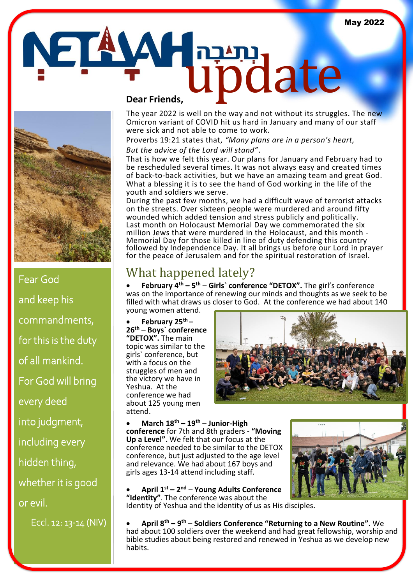



Fear God and keep his commandments, for this is the duty of all mankind. For God will bring every deed into judgment, including every hidden thing, whether it is good or evil.

Eccl. 12: 13-14 (NIV)

The year 2022 is well on the way and not without its struggles. The new Omicron variant of COVID hit us hard in January and many of our staff were sick and not able to come to work.

Proverbs 19:21 states that, *"Many plans are in a person's heart,*

### *But the advice of the Lord will stand"*.

That is how we felt this year. Our plans for January and February had to be rescheduled several times. It was not always easy and created times of back-to-back activities, but we have an amazing team and great God. What a blessing it is to see the hand of God working in the life of the youth and soldiers we serve.

During the past few months, we had a difficult wave of terrorist attacks on the streets. Over sixteen people were murdered and around fifty wounded which added tension and stress publicly and politically. Last month on Holocaust Memorial Day we commemorated the six million Jews that were murdered in the Holocaust, and this month - Memorial Day for those killed in line of duty defending this country followed by Independence Day. It all brings us before our Lord in prayer for the peace of Jerusalem and for the spiritual restoration of Israel.

## What happened lately?

• **February 4th – 5 th** – **Girls` conference "DETOX".** The girl's conference was on the importance of renewing our minds and thoughts as we seek to be filled with what draws us closer to God. At the conference we had about 140 young women attend.

• **February 25th – 26th** – **Boys` conference "DETOX".** The main topic was similar to the girls` conference, but with a focus on the struggles of men and the victory we have in Yeshua. At the conference we had about 125 young men attend.



#### • **March 18th – 19th** – **Junior-High**

**conference** for 7th and 8th graders - **"Moving Up a Level".** We felt that our focus at the conference needed to be similar to the DETOX conference, but just adjusted to the age level and relevance. We had about 167 boys and girls ages 13-14 attend including staff.

• **April 1st – 2 nd** – **Young Adults Conference "Identity"**. The conference was about the Identity of Yeshua and the identity of us as His disciples.



• **April 8 th – 9 th** – **Soldiers Conference "Returning to a New Routine".** We had about 100 soldiers over the weekend and had great fellowship, worship and bible studies about being restored and renewed in Yeshua as we develop new habits.